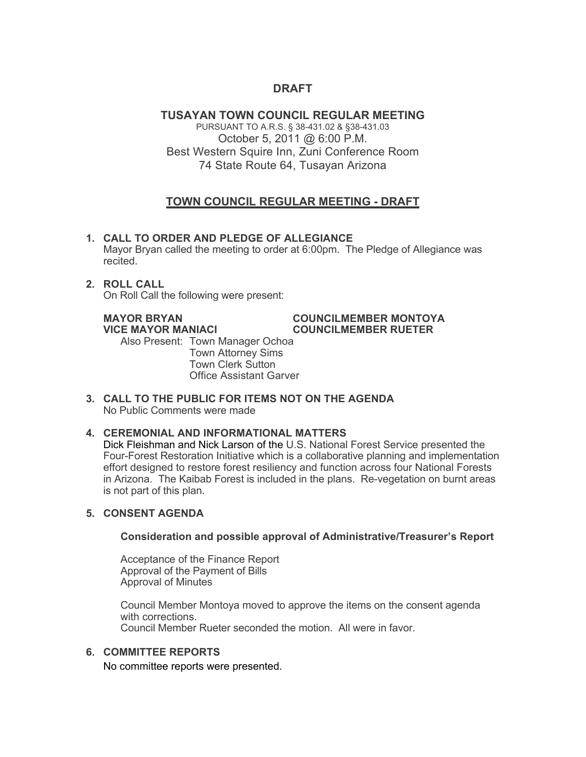# **DRAFT**

# **TUSAYAN TOWN COUNCIL REGULAR MEETING**

PURSUANT TO A.R.S. § 38-431.02 & §38-431.03 October 5, 2011 @ 6:00 P.M. Best Western Squire Inn, Zuni Conference Room 74 State Route 64, Tusayan Arizona

# **TOWN COUNCIL REGULAR MEETING - DRAFT**

# **1. CALL TO ORDER AND PLEDGE OF ALLEGIANCE**

Mayor Bryan called the meeting to order at 6:00pm. The Pledge of Allegiance was recited.

# **2. ROLL CALL**

On Roll Call the following were present:

#### **MAYOR BRYAN COUNCILMEMBER MONTOYA VICE MAYOR MANIACI COUNCILMEMBER RUETER**

Also Present: Town Manager Ochoa Town Attorney Sims Town Clerk Sutton

Office Assistant Garver

**3. CALL TO THE PUBLIC FOR ITEMS NOT ON THE AGENDA**  No Public Comments were made

# **4. CEREMONIAL AND INFORMATIONAL MATTERS**

Dick Fleishman and Nick Larson of the U.S. National Forest Service presented the Four-Forest Restoration Initiative which is a collaborative planning and implementation effort designed to restore forest resiliency and function across four National Forests in Arizona. The Kaibab Forest is included in the plans. Re-vegetation on burnt areas is not part of this plan.

# **5. CONSENT AGENDA**

### **Consideration and possible approval of Administrative/Treasurer's Report**

Acceptance of the Finance Report Approval of the Payment of Bills Approval of Minutes

Council Member Montoya moved to approve the items on the consent agenda with corrections. Council Member Rueter seconded the motion. All were in favor.

# **6. COMMITTEE REPORTS**

No committee reports were presented.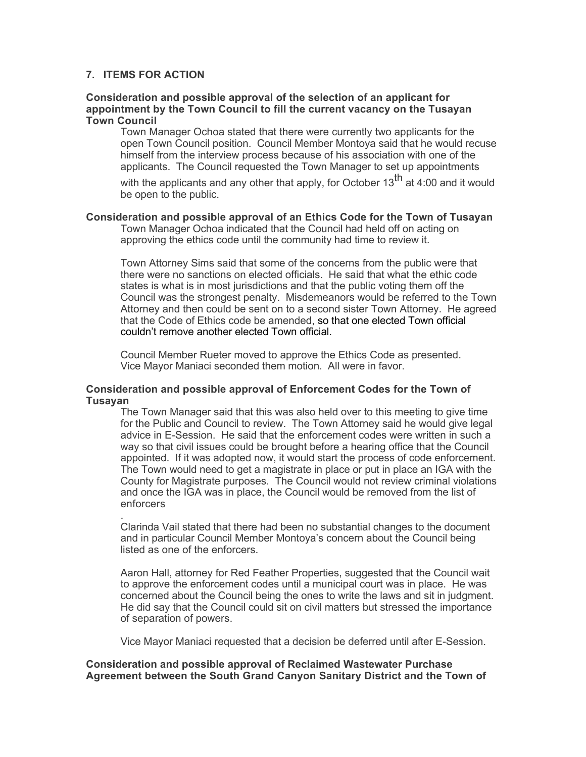## **7. ITEMS FOR ACTION**

.

#### **Consideration and possible approval of the selection of an applicant for appointment by the Town Council to fill the current vacancy on the Tusayan Town Council**

Town Manager Ochoa stated that there were currently two applicants for the open Town Council position. Council Member Montoya said that he would recuse himself from the interview process because of his association with one of the applicants. The Council requested the Town Manager to set up appointments

with the applicants and any other that apply, for October  $13<sup>th</sup>$  at 4:00 and it would be open to the public.

### **Consideration and possible approval of an Ethics Code for the Town of Tusayan**

Town Manager Ochoa indicated that the Council had held off on acting on approving the ethics code until the community had time to review it.

Town Attorney Sims said that some of the concerns from the public were that there were no sanctions on elected officials. He said that what the ethic code states is what is in most jurisdictions and that the public voting them off the Council was the strongest penalty. Misdemeanors would be referred to the Town Attorney and then could be sent on to a second sister Town Attorney. He agreed that the Code of Ethics code be amended, so that one elected Town official couldn't remove another elected Town official.

Council Member Rueter moved to approve the Ethics Code as presented. Vice Mayor Maniaci seconded them motion. All were in favor.

#### **Consideration and possible approval of Enforcement Codes for the Town of Tusayan**

The Town Manager said that this was also held over to this meeting to give time for the Public and Council to review. The Town Attorney said he would give legal advice in E-Session. He said that the enforcement codes were written in such a way so that civil issues could be brought before a hearing office that the Council appointed. If it was adopted now, it would start the process of code enforcement. The Town would need to get a magistrate in place or put in place an IGA with the County for Magistrate purposes. The Council would not review criminal violations and once the IGA was in place, the Council would be removed from the list of enforcers

Clarinda Vail stated that there had been no substantial changes to the document and in particular Council Member Montoya's concern about the Council being listed as one of the enforcers.

Aaron Hall, attorney for Red Feather Properties, suggested that the Council wait to approve the enforcement codes until a municipal court was in place. He was concerned about the Council being the ones to write the laws and sit in judgment. He did say that the Council could sit on civil matters but stressed the importance of separation of powers.

Vice Mayor Maniaci requested that a decision be deferred until after E-Session.

**Consideration and possible approval of Reclaimed Wastewater Purchase Agreement between the South Grand Canyon Sanitary District and the Town of**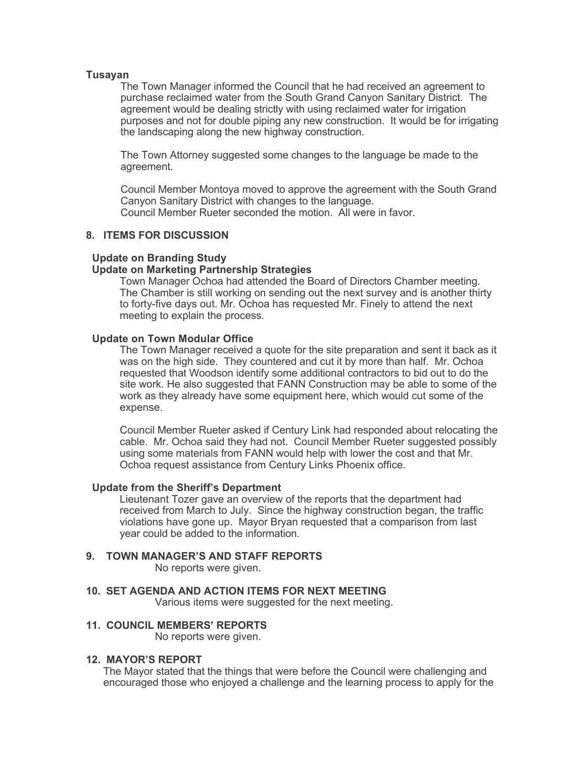#### **Tusayan**

The Town Manager informed the Council that he had received an agreement to purchase reclaimed water from the South Grand Canyon Sanitary District. The agreement would be dealing strictly with using reclaimed water for irrigation purposes and not for double piping any new construction. It would be for irrigating the landscaping along the new highway construction.

The Town Attorney suggested some changes to the language be made to the agreement.

Council Member Montoya moved to approve the agreement with the South Grand Canyon Sanitary District with changes to the language. Council Member Rueter seconded the motion. All were in favor.

#### **8. ITEMS FOR DISCUSSION**

#### **Update on Branding Study**

#### **Update on Marketing Partnership Strategies**

Town Manager Ochoa had attended the Board of Directors Chamber meeting. The Chamber is still working on sending out the next survey and is another thirty to forty-five days out. Mr. Ochoa has requested Mr. Finely to attend the next meeting to explain the process.

#### **Update on Town Modular Office**

The Town Manager received a quote for the site preparation and sent it back as it was on the high side. They countered and cut it by more than half. Mr. Ochoa requested that Woodson identify some additional contractors to bid out to do the site work. He also suggested that FANN Construction may be able to some of the work as they already have some equipment here, which would cut some of the expense.

Council Member Rueter asked if Century Link had responded about relocating the cable. Mr. Ochoa said they had not. Council Member Rueter suggested possibly using some materials from FANN would help with lower the cost and that Mr. Ochoa request assistance from Century Links Phoenix office.

#### **Update from the Sheriff's Department**

Lieutenant Tozer gave an overview of the reports that the department had received from March to July. Since the highway construction began, the traffic violations have gone up. Mayor Bryan requested that a comparison from last year could be added to the information.

#### **9. TOWN MANAGER'S AND STAFF REPORTS**

No reports were given.

**10. SET AGENDA AND ACTION ITEMS FOR NEXT MEETING**

Various items were suggested for the next meeting.

#### **11. COUNCIL MEMBERS' REPORTS**

No reports were given.

#### **12. MAYOR'S REPORT**

The Mayor stated that the things that were before the Council were challenging and encouraged those who enjoyed a challenge and the learning process to apply for the